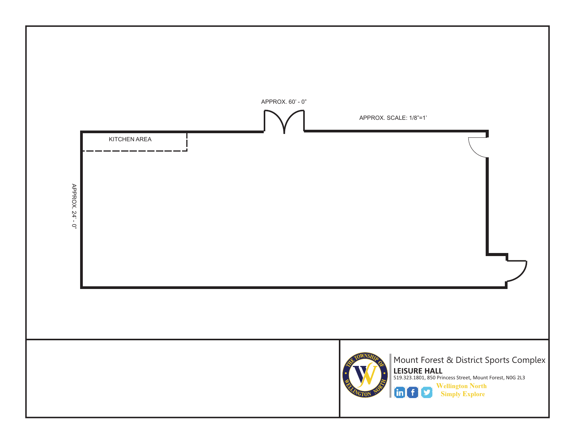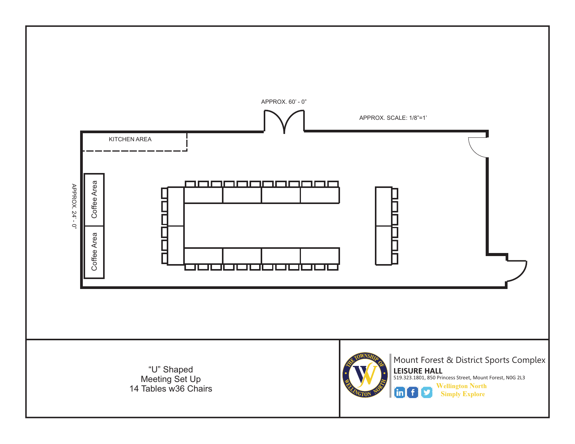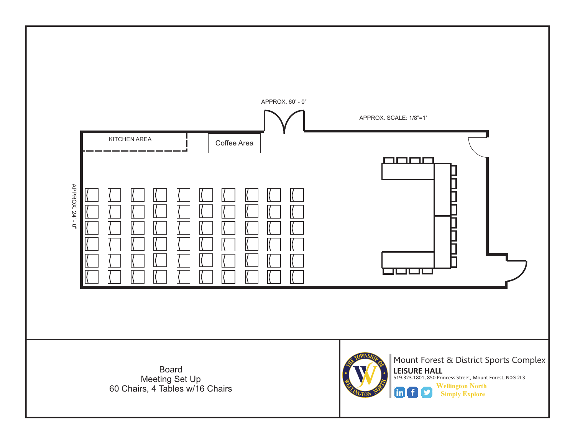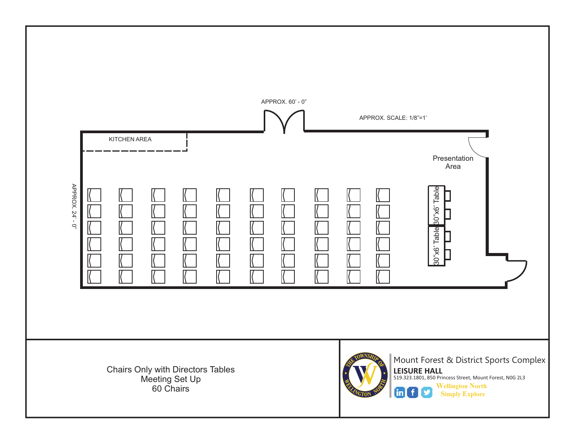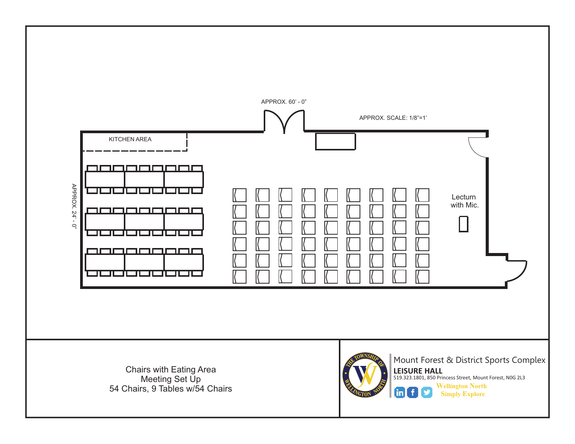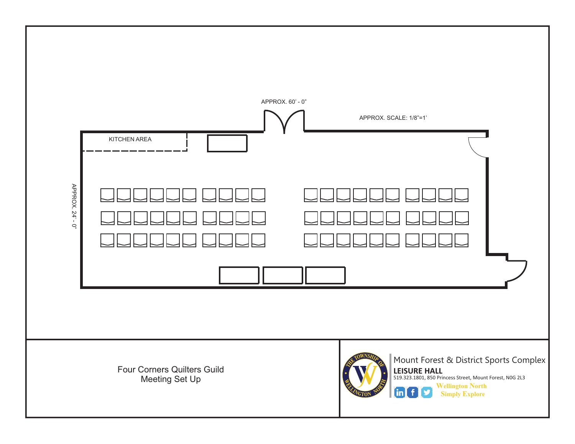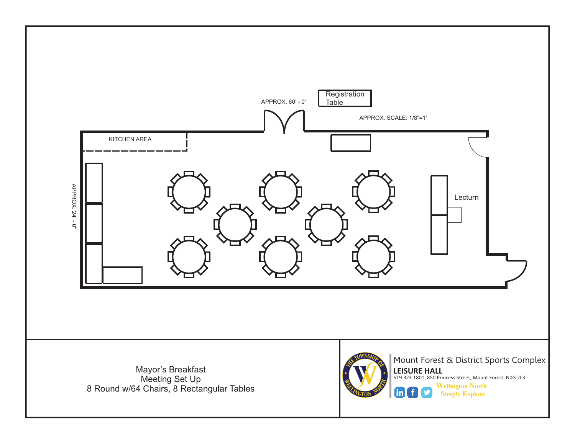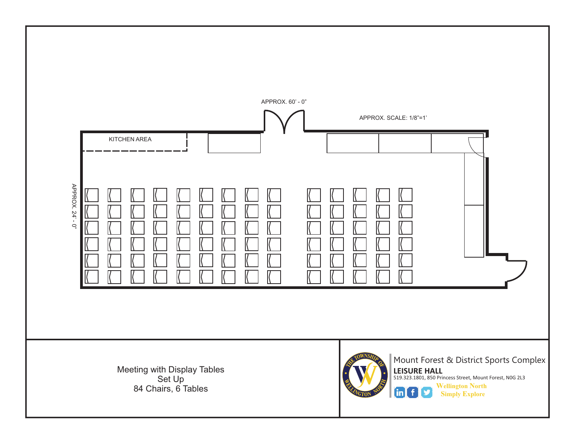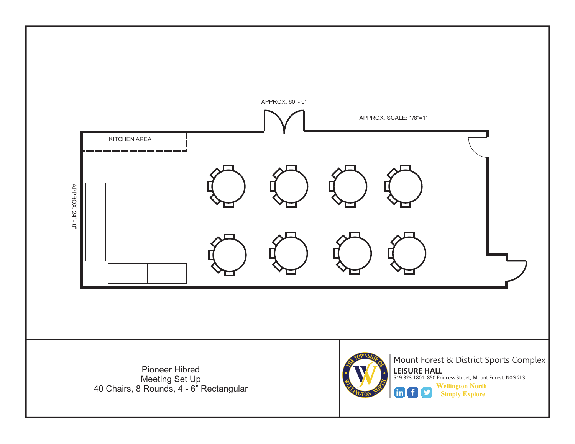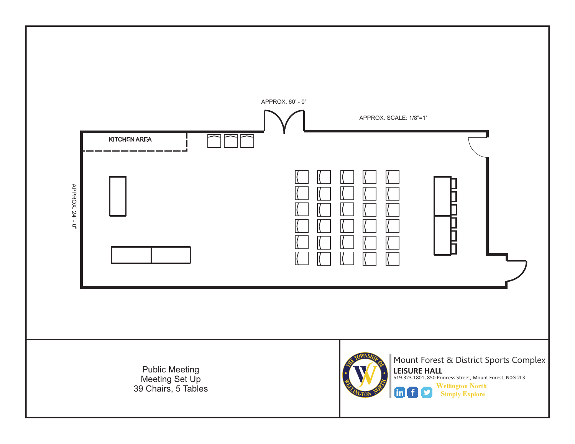![](_page_9_Figure_0.jpeg)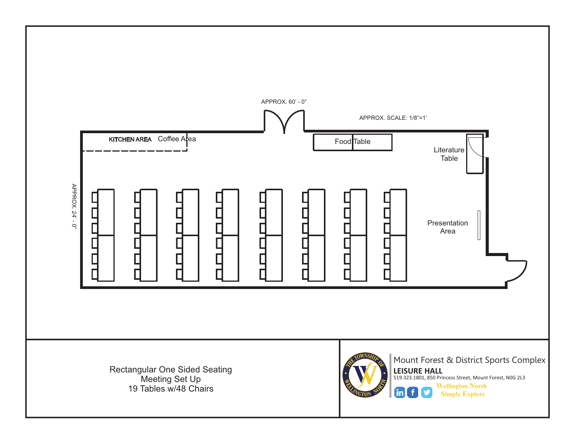![](_page_10_Figure_0.jpeg)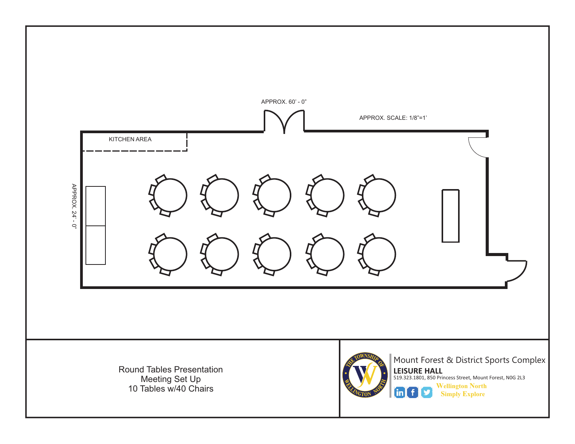![](_page_11_Figure_0.jpeg)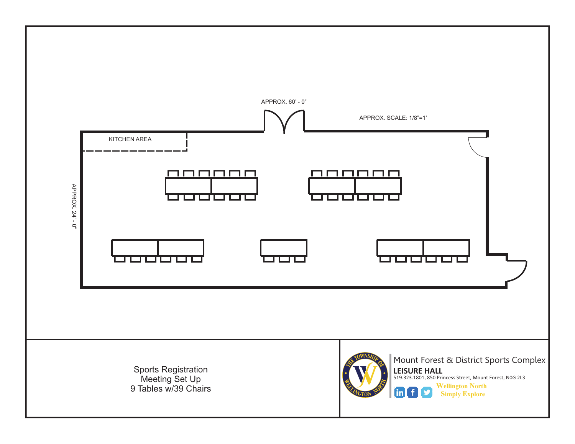![](_page_12_Figure_0.jpeg)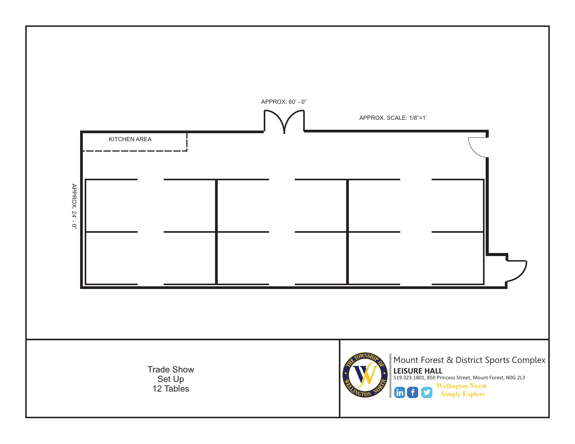![](_page_13_Figure_0.jpeg)